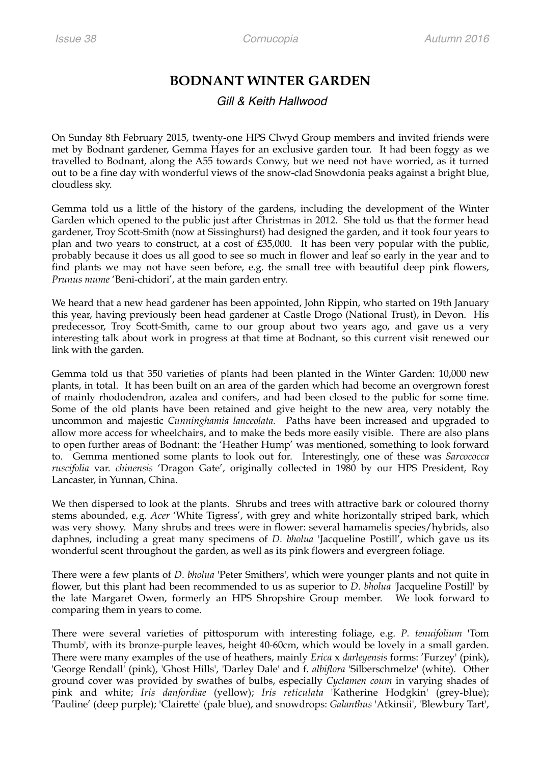## **BODNANT WINTER GARDEN**

## *Gill & Keith Hallwood*

On Sunday 8th February 2015, twenty-one HPS Clwyd Group members and invited friends were met by Bodnant gardener, Gemma Hayes for an exclusive garden tour. It had been foggy as we travelled to Bodnant, along the A55 towards Conwy, but we need not have worried, as it turned out to be a fine day with wonderful views of the snow-clad Snowdonia peaks against a bright blue, cloudless sky.

Gemma told us a little of the history of the gardens, including the development of the Winter Garden which opened to the public just after Christmas in 2012. She told us that the former head gardener, Troy Scott-Smith (now at Sissinghurst) had designed the garden, and it took four years to plan and two years to construct, at a cost of £35,000. It has been very popular with the public, probably because it does us all good to see so much in flower and leaf so early in the year and to find plants we may not have seen before, e.g. the small tree with beautiful deep pink flowers, *Prunus mume* 'Beni-chidori', at the main garden entry.

We heard that a new head gardener has been appointed, John Rippin, who started on 19th January this year, having previously been head gardener at Castle Drogo (National Trust), in Devon. His predecessor, Troy Scott-Smith, came to our group about two years ago, and gave us a very interesting talk about work in progress at that time at Bodnant, so this current visit renewed our link with the garden.

Gemma told us that 350 varieties of plants had been planted in the Winter Garden: 10,000 new plants, in total. It has been built on an area of the garden which had become an overgrown forest of mainly rhododendron, azalea and conifers, and had been closed to the public for some time. Some of the old plants have been retained and give height to the new area, very notably the uncommon and majestic *Cunninghamia lanceolata.* Paths have been increased and upgraded to allow more access for wheelchairs, and to make the beds more easily visible. There are also plans to open further areas of Bodnant: the 'Heather Hump' was mentioned, something to look forward to. Gemma mentioned some plants to look out for. Interestingly, one of these was *Sarcococca ruscifolia* var. *chinensis* 'Dragon Gate', originally collected in 1980 by our HPS President, Roy Lancaster, in Yunnan, China.

We then dispersed to look at the plants. Shrubs and trees with attractive bark or coloured thorny stems abounded, e.g. *Acer* 'White Tigress', with grey and white horizontally striped bark, which was very showy. Many shrubs and trees were in flower: several hamamelis species/hybrids, also daphnes, including a great many specimens of *D. bholua* 'Jacqueline Postill', which gave us its wonderful scent throughout the garden, as well as its pink flowers and evergreen foliage.

There were a few plants of *D. bholua* 'Peter Smithers', which were younger plants and not quite in flower, but this plant had been recommended to us as superior to *D. bholua* 'Jacqueline Postill' by the late Margaret Owen, formerly an HPS Shropshire Group member. We look forward to comparing them in years to come.

There were several varieties of pittosporum with interesting foliage, e.g. *P. tenuifolium* 'Tom Thumb', with its bronze-purple leaves, height 40-60cm, which would be lovely in a small garden. There were many examples of the use of heathers, mainly *Erica* x *darleyensis* forms: 'Furzey' (pink), 'George Rendall' (pink), 'Ghost Hills', 'Darley Dale' and f*. albiflora* 'Silberschmelze' (white). Other ground cover was provided by swathes of bulbs, especially *Cyclamen coum* in varying shades of pink and white; *Iris danfordiae* (yellow); *Iris reticulata* 'Katherine Hodgkin' (grey-blue); 'Pauline' (deep purple); 'Clairette' (pale blue), and snowdrops: *Galanthus* 'Atkinsii', 'Blewbury Tart',